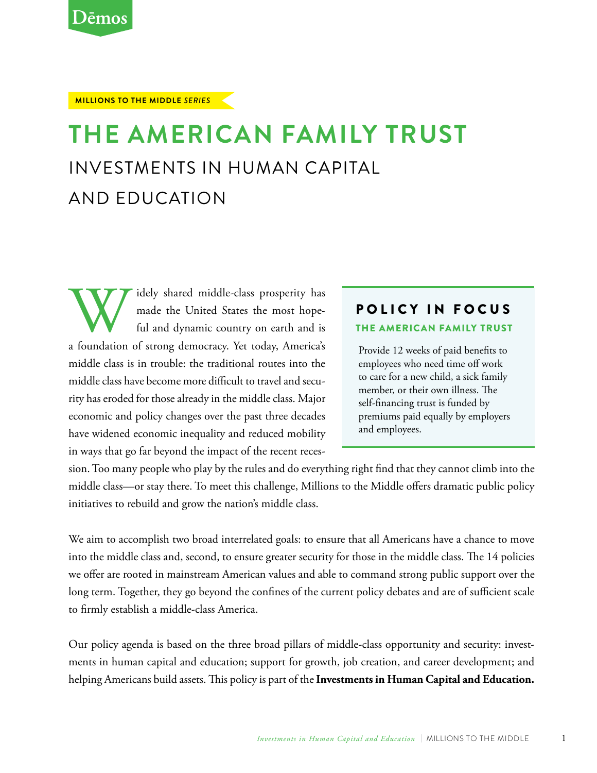#### **Millions to the Middle** *Series*

# **The American Family Trust** Investments in Human Capital and Education

Widely shared middle-class prosperity has made the United States the most hope-<br>ful and dynamic country on earth and is<br>a foundation of strong democracy. Yet today, America's made the United States the most hopeful and dynamic country on earth and is middle class is in trouble: the traditional routes into the middle class have become more difficult to travel and security has eroded for those already in the middle class. Major economic and policy changes over the past three decades have widened economic inequality and reduced mobility in ways that go far beyond the impact of the recent reces-

### Policy in Focus

#### The American Family Trust

Provide 12 weeks of paid benefits to employees who need time off work to care for a new child, a sick family member, or their own illness. The self-financing trust is funded by premiums paid equally by employers and employees.

sion. Too many people who play by the rules and do everything right find that they cannot climb into the middle class—or stay there. To meet this challenge, Millions to the Middle offers dramatic public policy initiatives to rebuild and grow the nation's middle class.

We aim to accomplish two broad interrelated goals: to ensure that all Americans have a chance to move into the middle class and, second, to ensure greater security for those in the middle class. The 14 policies we offer are rooted in mainstream American values and able to command strong public support over the long term. Together, they go beyond the confines of the current policy debates and are of sufficient scale to firmly establish a middle-class America.

Our policy agenda is based on the three broad pillars of middle-class opportunity and security: investments in human capital and education; support for growth, job creation, and career development; and helping Americans build assets. This policy is part of the **Investments in Human Capital and Education.**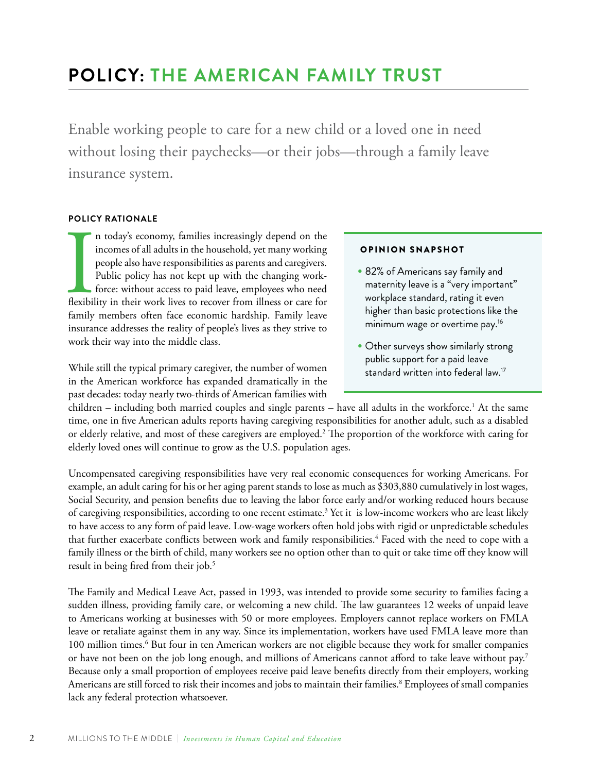## **POLICY: The American Family Trust**

Enable working people to care for a new child or a loved one in need without losing their paychecks—or their jobs—through a family leave insurance system.

#### **Policy Rationale**

**Index**<br>Indexibil n today's economy, families increasingly depend on the incomes of all adults in the household, yet many working people also have responsibilities as parents and caregivers. Public policy has not kept up with the changing workforce: without access to paid leave, employees who need flexibility in their work lives to recover from illness or care for family members often face economic hardship. Family leave insurance addresses the reality of people's lives as they strive to work their way into the middle class.

While still the typical primary caregiver, the number of women in the American workforce has expanded dramatically in the past decades: today nearly two-thirds of American families with

#### Opinion Snapshot

- • 82% of Americans say family and maternity leave is a "very important" workplace standard, rating it even higher than basic protections like the minimum wage or overtime pay.16
- Other surveys show similarly strong public support for a paid leave standard written into federal law.<sup>17</sup>

children – including both married couples and single parents – have all adults in the workforce.<sup>1</sup> At the same time, one in five American adults reports having caregiving responsibilities for another adult, such as a disabled or elderly relative, and most of these caregivers are employed.<sup>2</sup> The proportion of the workforce with caring for elderly loved ones will continue to grow as the U.S. population ages.

Uncompensated caregiving responsibilities have very real economic consequences for working Americans. For example, an adult caring for his or her aging parent stands to lose as much as \$303,880 cumulatively in lost wages, Social Security, and pension benefits due to leaving the labor force early and/or working reduced hours because of caregiving responsibilities, according to one recent estimate.<sup>3</sup> Yet it is low-income workers who are least likely to have access to any form of paid leave. Low-wage workers often hold jobs with rigid or unpredictable schedules that further exacerbate conflicts between work and family responsibilities.<sup>4</sup> Faced with the need to cope with a family illness or the birth of child, many workers see no option other than to quit or take time off they know will result in being fired from their job.<sup>5</sup>

The Family and Medical Leave Act, passed in 1993, was intended to provide some security to families facing a sudden illness, providing family care, or welcoming a new child. The law guarantees 12 weeks of unpaid leave to Americans working at businesses with 50 or more employees. Employers cannot replace workers on FMLA leave or retaliate against them in any way. Since its implementation, workers have used FMLA leave more than 100 million times.<sup>6</sup> But four in ten American workers are not eligible because they work for smaller companies or have not been on the job long enough, and millions of Americans cannot afford to take leave without pay.7 Because only a small proportion of employees receive paid leave benefits directly from their employers, working Americans are still forced to risk their incomes and jobs to maintain their families.<sup>8</sup> Employees of small companies lack any federal protection whatsoever.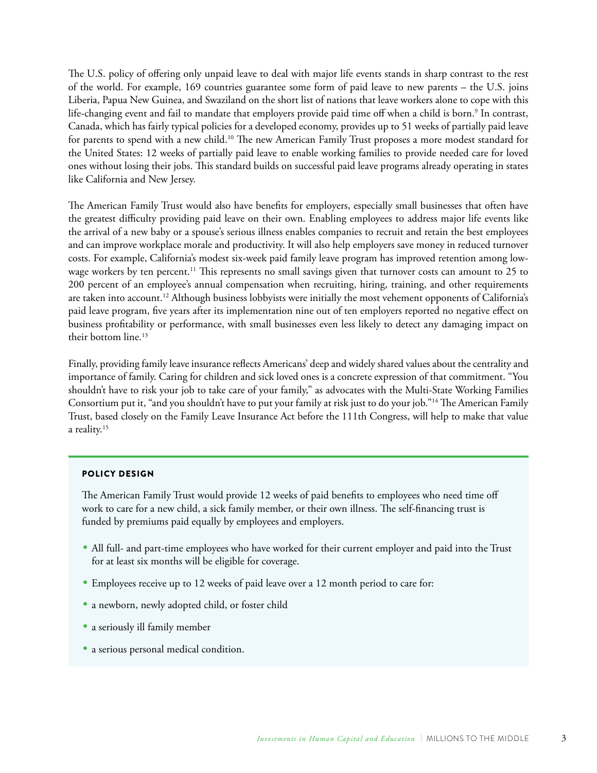The U.S. policy of offering only unpaid leave to deal with major life events stands in sharp contrast to the rest of the world. For example, 169 countries guarantee some form of paid leave to new parents – the U.S. joins Liberia, Papua New Guinea, and Swaziland on the short list of nations that leave workers alone to cope with this life-changing event and fail to mandate that employers provide paid time off when a child is born.<sup>9</sup> In contrast, Canada, which has fairly typical policies for a developed economy, provides up to 51 weeks of partially paid leave for parents to spend with a new child.<sup>10</sup> The new American Family Trust proposes a more modest standard for the United States: 12 weeks of partially paid leave to enable working families to provide needed care for loved ones without losing their jobs. This standard builds on successful paid leave programs already operating in states like California and New Jersey.

The American Family Trust would also have benefits for employers, especially small businesses that often have the greatest difficulty providing paid leave on their own. Enabling employees to address major life events like the arrival of a new baby or a spouse's serious illness enables companies to recruit and retain the best employees and can improve workplace morale and productivity. It will also help employers save money in reduced turnover costs. For example, California's modest six-week paid family leave program has improved retention among lowwage workers by ten percent.<sup>11</sup> This represents no small savings given that turnover costs can amount to 25 to 200 percent of an employee's annual compensation when recruiting, hiring, training, and other requirements are taken into account.<sup>12</sup> Although business lobbyists were initially the most vehement opponents of California's paid leave program, five years after its implementation nine out of ten employers reported no negative effect on business profitability or performance, with small businesses even less likely to detect any damaging impact on their bottom line.<sup>13</sup>

Finally, providing family leave insurance reflects Americans' deep and widely shared values about the centrality and importance of family. Caring for children and sick loved ones is a concrete expression of that commitment. "You shouldn't have to risk your job to take care of your family," as advocates with the Multi-State Working Families Consortium put it, "and you shouldn't have to put your family at risk just to do your job."14 The American Family Trust, based closely on the Family Leave Insurance Act before the 111th Congress, will help to make that value a reality.15

#### Policy Design

The American Family Trust would provide 12 weeks of paid benefits to employees who need time off work to care for a new child, a sick family member, or their own illness. The self-financing trust is funded by premiums paid equally by employees and employers.

- • All full- and part-time employees who have worked for their current employer and paid into the Trust for at least six months will be eligible for coverage.
- Employees receive up to 12 weeks of paid leave over a 12 month period to care for:
- a newborn, newly adopted child, or foster child
- a seriously ill family member
- a serious personal medical condition.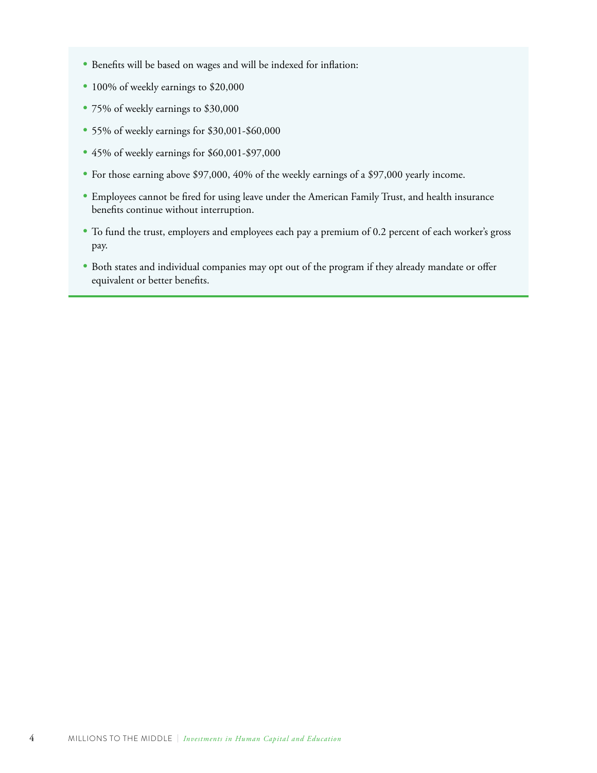- Benefits will be based on wages and will be indexed for inflation:
- 100% of weekly earnings to \$20,000
- 75% of weekly earnings to \$30,000
- 55% of weekly earnings for \$30,001-\$60,000
- 45% of weekly earnings for \$60,001-\$97,000
- For those earning above \$97,000, 40% of the weekly earnings of a \$97,000 yearly income.
- • Employees cannot be fired for using leave under the American Family Trust, and health insurance benefits continue without interruption.
- • To fund the trust, employers and employees each pay a premium of 0.2 percent of each worker's gross pay.
- Both states and individual companies may opt out of the program if they already mandate or offer equivalent or better benefits.